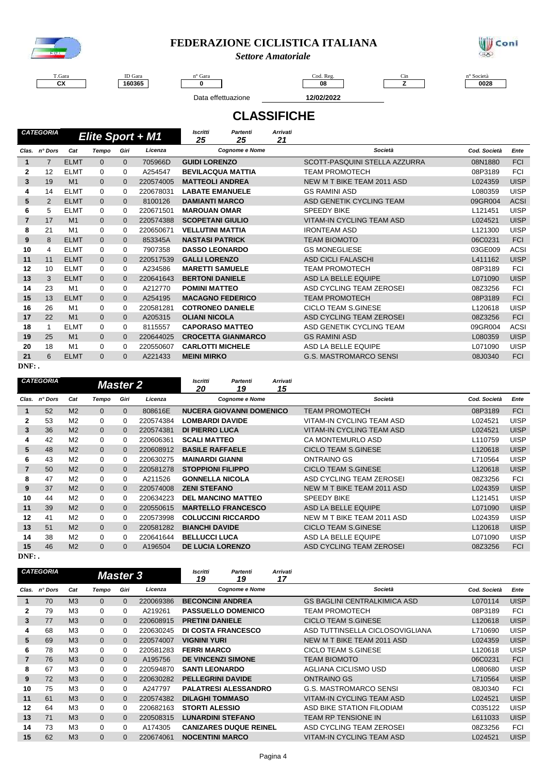

### **FEDERAZIONE CICLISTICA ITALIANA**

*Settore Amatoriale*



T.Gara **CX**

 $\overline{\phantom{0}}$ 

ID Gara 

n° Gara and the code of the Code Reg. Code Reg. Cin the contract of the contract of the contract of the contract of the contract of the contract of the contract of the contract of the contract of the contract of the contra

Data effettuazione **12/02/2022**

**1 0 08 Z 0028** 

**CLASSIFICHE**

|    | <b>CATEGORIA</b> |                |              |              | Elite Sport + M1 | <b>Iscritti</b><br>25     | <b>Partenti</b><br>25    | <b>Arrivati</b><br>21 |                                  |              |             |
|----|------------------|----------------|--------------|--------------|------------------|---------------------------|--------------------------|-----------------------|----------------------------------|--------------|-------------|
|    | Clas. n° Dors    | Cat            | <b>Tempo</b> | Giri         | Licenza          |                           | <b>Cognome e Nome</b>    |                       | Società                          | Cod. Società | Ente        |
| 1  | 7                | <b>ELMT</b>    | $\mathbf{0}$ | $\mathbf{0}$ | 705966D          | <b>GUIDI LORENZO</b>      |                          |                       | SCOTT-PASQUINI STELLA AZZURRA    | 08N1880      | <b>FCI</b>  |
| 2  | 12               | <b>ELMT</b>    | $\Omega$     | $\Omega$     | A254547          |                           | <b>BEVILACQUA MATTIA</b> |                       | <b>TEAM PROMOTECH</b>            | 08P3189      | <b>FCI</b>  |
| 3  | 19               | M <sub>1</sub> | $\mathbf{0}$ | $\Omega$     | 220574005        | <b>MATTEOLI ANDREA</b>    |                          |                       | NEW M T BIKE TEAM 2011 ASD       | L024359      | <b>UISP</b> |
| 4  | 14               | <b>ELMT</b>    | 0            | $\Omega$     | 220678031        | <b>LABATE EMANUELE</b>    |                          |                       | <b>GS RAMINI ASD</b>             | L080359      | <b>UISP</b> |
| 5  | 2                | <b>ELMT</b>    | $\Omega$     | $\Omega$     | 8100126          | <b>DAMIANTI MARCO</b>     |                          |                       | ASD GENETIK CYCLING TEAM         | 09GR004      | <b>ACSI</b> |
| 6  | 5                | <b>ELMT</b>    | 0            | $\Omega$     | 220671501        | <b>MAROUAN OMAR</b>       |                          |                       | <b>SPEEDY BIKE</b>               | L121451      | <b>UISP</b> |
| 7  | 17               | M <sub>1</sub> | $\mathbf{0}$ | $\Omega$     | 220574388        | <b>SCOPETANI GIULIO</b>   |                          |                       | <b>VITAM-IN CYCLING TEAM ASD</b> | L024521      | <b>UISP</b> |
| 8  | 21               | M <sub>1</sub> | 0            | 0            | 220650671        | <b>VELLUTINI MATTIA</b>   |                          |                       | <b>IRONTEAM ASD</b>              | L121300      | <b>UISP</b> |
| 9  | 8                | <b>ELMT</b>    | $\Omega$     | $\Omega$     | 853345A          | <b>NASTASI PATRICK</b>    |                          |                       | <b>TEAM BIOMOTO</b>              | 06C0231      | <b>FCI</b>  |
| 10 | 4                | <b>ELMT</b>    | 0            | $\Omega$     | 7907358          | <b>DASSO LEONARDO</b>     |                          |                       | <b>GS MONEGLIESE</b>             | 03GE009      | <b>ACSI</b> |
| 11 | 11               | <b>ELMT</b>    | $\mathbf{0}$ | $\Omega$     | 220517539        | <b>GALLI LORENZO</b>      |                          |                       | <b>ASD CICLI FALASCHI</b>        | L411162      | <b>UISP</b> |
| 12 | 10               | <b>ELMT</b>    | 0            | $\Omega$     | A234586          | <b>MARETTI SAMUELE</b>    |                          |                       | <b>TEAM PROMOTECH</b>            | 08P3189      | <b>FCI</b>  |
| 13 | 3                | <b>ELMT</b>    | $\mathbf{0}$ | $\Omega$     | 220641643        | <b>BERTONI DANIELE</b>    |                          |                       | ASD LA BELLE EQUIPE              | L071090      | <b>UISP</b> |
| 14 | 23               | M <sub>1</sub> | $\Omega$     | $\Omega$     | A212770          | <b>POMINI MATTEO</b>      |                          |                       | ASD CYCLING TEAM ZEROSEI         | 08Z3256      | <b>FCI</b>  |
| 15 | 13               | <b>ELMT</b>    | $\mathbf{0}$ | $\Omega$     | A254195          |                           | <b>MACAGNO FEDERICO</b>  |                       | <b>TEAM PROMOTECH</b>            | 08P3189      | <b>FCI</b>  |
| 16 | 26               | M1             | 0            | 0            | 220581281        |                           | <b>COTRONEO DANIELE</b>  |                       | <b>CICLO TEAM S.GINESE</b>       | L120618      | <b>UISP</b> |
| 17 | 22               | M <sub>1</sub> | $\mathbf{0}$ | $\Omega$     | A205315          | <b>OLIANI NICOLA</b>      |                          |                       | ASD CYCLING TEAM ZEROSEI         | 08Z3256      | <b>FCI</b>  |
| 18 | 1                | <b>ELMT</b>    | 0            | $\Omega$     | 8115557          | <b>CAPORASO MATTEO</b>    |                          |                       | ASD GENETIK CYCLING TEAM         | 09GR004      | <b>ACSI</b> |
| 19 | 25               | M <sub>1</sub> | $\mathbf{0}$ | $\Omega$     | 220644025        | <b>CROCETTA GIANMARCO</b> |                          |                       | <b>GS RAMINI ASD</b>             | L080359      | <b>UISP</b> |
| 20 | 18               | M <sub>1</sub> | $\Omega$     | $\Omega$     | 220550607        | <b>CARLOTTI MICHELE</b>   |                          |                       | ASD LA BELLE EQUIPE              | L071090      | <b>UISP</b> |
| 21 | 6                | <b>ELMT</b>    | $\mathbf{0}$ | $\Omega$     | A221433          | <b>MEINI MIRKO</b>        |                          |                       | <b>G.S. MASTROMARCO SENSI</b>    | 08J0340      | <b>FCI</b>  |

**DNF: .**

|              | <b>CATEGORIA</b> |                |                | <b>Master 2</b> |           | Iscritti<br>20           | Partenti<br>19                  | <b>Arrivati</b><br>15 |                            |              |                     |  |             |
|--------------|------------------|----------------|----------------|-----------------|-----------|--------------------------|---------------------------------|-----------------------|----------------------------|--------------|---------------------|--|-------------|
| Clas.        | n° Dors          | Cat            | Tempo          | Giri            | Licenza   |                          | <b>Cognome e Nome</b>           |                       | Società                    | Cod. Società | Ente                |  |             |
|              | 52               | M <sub>2</sub> | $\mathbf{0}$   | $\mathbf{0}$    | 808616E   |                          | <b>NUCERA GIOVANNI DOMENICO</b> |                       | <b>TEAM PROMOTECH</b>      | 08P3189      | <b>FCI</b>          |  |             |
| $\mathbf{2}$ | 53               | M <sub>2</sub> | 0              | $\Omega$        | 220574384 | <b>LOMBARDI DAVIDE</b>   |                                 |                       | VITAM-IN CYCLING TEAM ASD  | L024521      | <b>UISP</b>         |  |             |
| 3            | 36               | M <sub>2</sub> | $\overline{0}$ | $\Omega$        | 220574381 | <b>DI PIERRO LUCA</b>    |                                 |                       | VITAM-IN CYCLING TEAM ASD  | L024521      | <b>UISP</b>         |  |             |
| 4            | 42               | M <sub>2</sub> | 0              | $\Omega$        | 220606361 | <b>SCALI MATTEO</b>      |                                 |                       | CA MONTEMURLO ASD          | L110759      | <b>UISP</b>         |  |             |
| 5            | 48               | M <sub>2</sub> | $\overline{0}$ | $\Omega$        | 220608912 | <b>BASILE RAFFAELE</b>   |                                 |                       | CICLO TEAM S.GINESE        | L120618      | <b>UISP</b>         |  |             |
| 6            | 43               | M <sub>2</sub> | 0              | $\Omega$        | 220630275 | <b>MAINARDI GIANNI</b>   |                                 |                       | ONTRAINO GS                | L710564      | <b>UISP</b>         |  |             |
|              | 50               | M <sub>2</sub> | $\overline{0}$ | $\Omega$        | 220581278 | <b>STOPPIONI FILIPPO</b> |                                 |                       | <b>CICLO TEAM S.GINESE</b> | L120618      | <b>UISP</b>         |  |             |
| 8            | 47               | M <sub>2</sub> | 0              | $\Omega$        | A211526   | <b>GONNELLA NICOLA</b>   |                                 |                       | ASD CYCLING TEAM ZEROSEI   | 08Z3256      | <b>FCI</b>          |  |             |
| 9            | 37               | M <sub>2</sub> | $\overline{0}$ | $\Omega$        | 220574008 | <b>ZENI STEFANO</b>      |                                 |                       | NEW M T BIKE TEAM 2011 ASD | L024359      | <b>UISP</b>         |  |             |
| 10           | 44               | M <sub>2</sub> | 0              | $\Omega$        | 220634223 |                          | <b>DEL MANCINO MATTEO</b>       |                       | <b>SPEEDY BIKE</b>         | L121451      | <b>UISP</b>         |  |             |
| 11           | 39               | M <sub>2</sub> | $\overline{0}$ | $\Omega$        | 220550615 |                          | <b>MARTELLO FRANCESCO</b>       |                       | ASD LA BELLE EQUIPE        | L071090      | <b>UISP</b>         |  |             |
| 12           | 41               | M <sub>2</sub> | 0              | $\Omega$        | 220573998 |                          | <b>COLUCCINI RICCARDO</b>       |                       | NEW M T BIKE TEAM 2011 ASD | L024359      | <b>UISP</b>         |  |             |
| 13           | 51               | M <sub>2</sub> | $\Omega$       | $\Omega$        | 220581282 | <b>BIANCHI DAVIDE</b>    |                                 |                       | <b>CICLO TEAM S.GINESE</b> | L120618      | <b>UISP</b>         |  |             |
| 14           | 38               | M <sub>2</sub> | 0              | $\Omega$        | 220641644 | <b>BELLUCCI LUCA</b>     |                                 |                       |                            |              | ASD LA BELLE EQUIPE |  | <b>UISP</b> |
| 15           | 46               | M <sub>2</sub> | $\Omega$       | $\Omega$        | A196504   | <b>DE LUCIA LORENZO</b>  |                                 |                       | ASD CYCLING TEAM ZEROSEI   | 08Z3256      | <b>FCI</b>          |  |             |

**DNF: .**

|                | <b>CATEGORIA</b> |                | <b>Master 3</b> |          |           | <b>Arrivati</b><br><b>Iscritti</b><br>Partenti<br>17<br>19<br>19 |                               |                                     |              |             |
|----------------|------------------|----------------|-----------------|----------|-----------|------------------------------------------------------------------|-------------------------------|-------------------------------------|--------------|-------------|
| Clas.          | n° Dors          | Cat            | Tempo           | Giri     | Licenza   |                                                                  | <b>Cognome e Nome</b>         | Società                             | Cod. Società | Ente        |
| 1              | 70               | M <sub>3</sub> | $\Omega$        | 0        | 220069386 |                                                                  | <b>BECONCINI ANDREA</b>       | <b>GS BAGLINI CENTRALKIMICA ASD</b> | L070114      | <b>UISP</b> |
| $\mathbf{2}$   | 79               | M <sub>3</sub> | 0               | $\Omega$ | A219261   |                                                                  | <b>PASSUELLO DOMENICO</b>     | <b>TEAM PROMOTECH</b>               | 08P3189      | <b>FCI</b>  |
| 3              | 77               | M <sub>3</sub> | $\mathbf{0}$    | $\Omega$ | 220608915 | <b>PRETINI DANIELE</b>                                           |                               | <b>CICLO TEAM S.GINESE</b>          | L120618      | <b>UISP</b> |
| 4              | 68               | M <sub>3</sub> | 0               | $\Omega$ | 220630245 |                                                                  | DI COSTA FRANCESCO            | ASD TUTTINSELLA CICLOSOVIGLIANA     | L710690      | <b>UISP</b> |
| 5              | 69               | M <sub>3</sub> | $\overline{0}$  | $\Omega$ | 220574007 | <b>VIGNINI YURI</b>                                              |                               | NEW M T BIKE TEAM 2011 ASD          | L024359      | <b>UISP</b> |
| 6              | 78               | M <sub>3</sub> | $\Omega$        | 0        | 220581283 | <b>FERRI MARCO</b>                                               |                               | <b>CICLO TEAM S.GINESE</b>          | L120618      | <b>UISP</b> |
| $\overline{7}$ | 76               | M <sub>3</sub> | $\overline{0}$  | $\Omega$ | A195756   | <b>DE VINCENZI SIMONE</b>                                        |                               | <b>TEAM BIOMOTO</b>                 | 06C0231      | <b>FCI</b>  |
| 8              | 67               | M <sub>3</sub> | 0               | 0        | 220594870 | <b>SANTI LEONARDO</b>                                            |                               | AGLIANA CICLISMO USD                | L080680      | <b>UISP</b> |
| 9              | 72               | M <sub>3</sub> | $\Omega$        | $\Omega$ | 220630282 |                                                                  | <b>PELLEGRINI DAVIDE</b>      | <b>ONTRAINO GS</b>                  | L710564      | <b>UISP</b> |
| 10             | 75               | M <sub>3</sub> | 0               | 0        | A247797   |                                                                  | <b>PALATRESI ALESSANDRO</b>   | <b>G.S. MASTROMARCO SENSI</b>       | 08J0340      | <b>FCI</b>  |
| 11             | 61               | M <sub>3</sub> | $\Omega$        | $\Omega$ | 220574382 | <b>DILAGHI TOMMASO</b>                                           |                               | VITAM-IN CYCLING TEAM ASD           | L024521      | <b>UISP</b> |
| 12             | 64               | M <sub>3</sub> | 0               | 0        | 220682163 | <b>STORTI ALESSIO</b>                                            |                               | ASD BIKE STATION FILODIAM           | C035122      | <b>UISP</b> |
| 13             | 71               | M <sub>3</sub> | $\overline{0}$  | $\Omega$ | 220508315 |                                                                  | <b>LUNARDINI STEFANO</b>      | <b>TEAM RP TENSIONE IN</b>          | L611033      | <b>UISP</b> |
| 14             | 73               | M <sub>3</sub> | 0               | 0        | A174305   |                                                                  | <b>CANIZARES DUQUE REINEL</b> | ASD CYCLING TEAM ZEROSEI            | 08Z3256      | <b>FCI</b>  |
| 15             | 62               | M <sub>3</sub> | $\overline{0}$  | $\Omega$ | 220674061 | <b>NOCENTINI MARCO</b>                                           |                               | VITAM-IN CYCLING TEAM ASD           | L024521      | <b>UISP</b> |
|                |                  |                |                 |          |           |                                                                  |                               |                                     |              |             |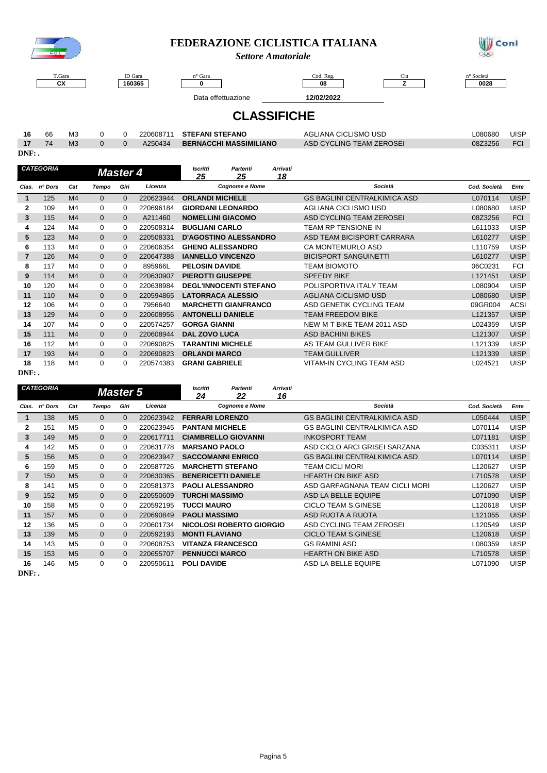

### **FEDERAZIONE CICLISTICA ITALIANA**

*Settore Amatoriale*



T.Gara **CX**

 $\sqrt{ }$ 

ID Gara  n° Gara and the code of the Code Reg. Code Reg. Cin the contract of the contract of the contract of the contract of the contract of the contract of the contract of the contract of the contract of the contract of the contra

**08 Z 0028**

 $\overline{\phantom{0}}$ 

Data effettuazione **12/02/2022**

## **CLASSIFICHE**

| 16 66      | M3              |  | 220608711 STEFANI STEFANO      | AGLIANA CICLISMO USD     | L080680 | <b>UISF</b> |
|------------|-----------------|--|--------------------------------|--------------------------|---------|-------------|
| $17 \t 74$ | MA <sub>2</sub> |  | A250434 BERNACCHI MASSIMILIANO | ASD CYCLING TEAM ZEROSEL | 08Z3256 | <b>FCI</b>  |

| AGLIANA CICLISMO USD     | L080680 | <b>UISP</b> |
|--------------------------|---------|-------------|
| ASD CYCLING TEAM ZEROSEL | 08Z3256 |             |

**DNF: .**

|       | <b>CATEGORIA</b> |                |                | <b>Master 4</b> |           | <b>Iscritti</b><br>25    | <b>Partenti</b><br>25         | Arrivati<br>18 |                                     |              |             |
|-------|------------------|----------------|----------------|-----------------|-----------|--------------------------|-------------------------------|----------------|-------------------------------------|--------------|-------------|
| Clas. | n° Dors          | Cat            | Tempo          | Giri            | Licenza   |                          | <b>Cognome e Nome</b>         |                | Società                             | Cod. Società | Ente        |
|       | 125              | M <sub>4</sub> | $\mathbf{0}$   | $\Omega$        | 220623944 | <b>ORLANDI MICHELE</b>   |                               |                | <b>GS BAGLINI CENTRALKIMICA ASD</b> | L070114      | <b>UISP</b> |
| 2     | 109              | M4             | 0              | 0               | 220696184 |                          | <b>GIORDANI LEONARDO</b>      |                | AGLIANA CICLISMO USD                | L080680      | UISP        |
| 3     | 115              | M <sub>4</sub> | $\mathbf{0}$   | $\mathbf{0}$    | A211460   | <b>NOMELLINI GIACOMO</b> |                               |                | ASD CYCLING TEAM ZEROSEI            | 08Z3256      | <b>FCI</b>  |
| 4     | 124              | M4             | 0              | $\Omega$        | 220508314 | <b>BUGLIANI CARLO</b>    |                               |                | TEAM RP TENSIONE IN                 | L611033      | UISP        |
| 5     | 123              | M <sub>4</sub> | 0              | $\Omega$        | 220508331 |                          | <b>D'AGOSTINO ALESSANDRO</b>  |                | ASD TEAM BICISPORT CARRARA          | L610277      | <b>UISP</b> |
| 6     | 113              | M4             | 0              | $\Omega$        | 220606354 | <b>GHENO ALESSANDRO</b>  |                               |                | <b>CA MONTEMURLO ASD</b>            | L110759      | UISP        |
| 7     | 126              | M <sub>4</sub> | $\overline{0}$ | $\Omega$        | 220647388 | <b>IANNELLO VINCENZO</b> |                               |                | <b>BICISPORT SANGUINETTI</b>        | L610277      | <b>UISP</b> |
| 8     | 117              | M4             | 0              | $\Omega$        | 895966L   | <b>PELOSIN DAVIDE</b>    |                               |                | <b>TEAM BIOMOTO</b>                 | 06C0231      | <b>FCI</b>  |
| 9     | 114              | M <sub>4</sub> | $\overline{0}$ | $\Omega$        | 220630907 | <b>PIEROTTI GIUSEPPE</b> |                               |                | <b>SPEEDY BIKE</b>                  | L121451      | <b>UISP</b> |
| 10    | 120              | M4             | 0              | $\Omega$        | 220638984 |                          | <b>DEGL'INNOCENTI STEFANO</b> |                | POLISPORTIVA ITALY TEAM             | L080904      | UISP        |
| 11    | 110              | M <sub>4</sub> | $\overline{0}$ | $\Omega$        | 220594865 |                          | <b>LATORRACA ALESSIO</b>      |                | <b>AGLIANA CICLISMO USD</b>         | L080680      | <b>UISP</b> |
| 12    | 106              | M4             | 0              | $\Omega$        | 7956640   |                          | <b>MARCHETTI GIANFRANCO</b>   |                | ASD GENETIK CYCLING TEAM            | 09GR004      | ACSI        |
| 13    | 129              | M <sub>4</sub> | $\overline{0}$ | $\Omega$        | 220608956 | <b>ANTONELLI DANIELE</b> |                               |                | <b>TEAM FREEDOM BIKE</b>            | L121357      | <b>UISP</b> |
| 14    | 107              | M4             | 0              | $\Omega$        | 220574257 | <b>GORGA GIANNI</b>      |                               |                | NEW M T BIKE TEAM 2011 ASD          | L024359      | UISP        |
| 15    | 111              | M <sub>4</sub> | $\overline{0}$ | $\Omega$        | 220608944 | <b>DAL ZOVO LUCA</b>     |                               |                | <b>ASD BACHINI BIKES</b>            | L121307      | <b>UISP</b> |
| 16    | 112              | M4             | 0              | $\Omega$        | 220690825 | <b>TARANTINI MICHELE</b> |                               |                | AS TEAM GULLIVER BIKE               | L121339      | UISP        |
| 17    | 193              | M <sub>4</sub> | $\overline{0}$ | $\Omega$        | 220690823 | <b>ORLANDI MARCO</b>     |                               |                | <b>TEAM GULLIVER</b>                | L121339      | <b>UISP</b> |
| 18    | 118              | M4             | 0              | 0               | 220574383 | <b>GRANI GABRIELE</b>    |                               |                | VITAM-IN CYCLING TEAM ASD           | L024521      | <b>UISP</b> |

**DNF: .**

|                | CATEGORIA |                |                | <b>Master 5</b> |           | <b>Iscritti</b><br>24      | Partenti<br>22             | <b>Arrivati</b><br>16 |                                     |              |             |
|----------------|-----------|----------------|----------------|-----------------|-----------|----------------------------|----------------------------|-----------------------|-------------------------------------|--------------|-------------|
| Clas.          | n° Dors   | Cat            | <b>Tempo</b>   | Giri            | Licenza   |                            | <b>Cognome e Nome</b>      |                       | Società                             | Cod. Società | Ente        |
| 1              | 138       | M <sub>5</sub> | 0              | $\Omega$        | 220623942 | <b>FERRARI LORENZO</b>     |                            |                       | <b>GS BAGLINI CENTRALKIMICA ASD</b> | L050444      | <b>UISP</b> |
| 2              | 151       | M <sub>5</sub> | 0              | 0               | 220623945 | <b>PANTANI MICHELE</b>     |                            |                       | <b>GS BAGLINI CENTRALKIMICA ASD</b> | L070114      | <b>UISP</b> |
| 3              | 149       | M <sub>5</sub> | $\overline{0}$ | $\Omega$        | 220617711 |                            | <b>CIAMBRELLO GIOVANNI</b> |                       | <b>INKOSPORT TEAM</b>               | L071181      | <b>UISP</b> |
| 4              | 142       | M <sub>5</sub> | 0              | $\Omega$        | 220631778 | <b>MARSANO PAOLO</b>       |                            |                       | ASD CICLO ARCI GRISEI SARZANA       | C035311      | <b>UISP</b> |
| 5              | 156       | M <sub>5</sub> | $\mathbf{0}$   | $\Omega$        | 220623947 |                            | <b>SACCOMANNI ENRICO</b>   |                       | <b>GS BAGLINI CENTRALKIMICA ASD</b> | L070114      | <b>UISP</b> |
| 6              | 159       | M <sub>5</sub> | 0              | $\Omega$        | 220587726 | <b>MARCHETTI STEFANO</b>   |                            |                       | <b>TEAM CICLI MORI</b>              | L120627      | <b>UISP</b> |
| 7              | 150       | M <sub>5</sub> | $\overline{0}$ | 0               | 220630365 | <b>BENERICETTI DANIELE</b> |                            |                       | <b>HEARTH ON BIKE ASD</b>           | L710578      | <b>UISP</b> |
| 8              | 141       | M <sub>5</sub> | 0              | $\Omega$        | 220581373 | <b>PAOLI ALESSANDRO</b>    |                            |                       | ASD GARFAGNANA TEAM CICLI MORI      | L120627      | <b>UISP</b> |
| 9              | 152       | M <sub>5</sub> | $\mathbf{0}$   | $\Omega$        | 220550609 |                            | <b>TURCHI MASSIMO</b>      |                       | ASD LA BELLE EQUIPE                 | L071090      | <b>UISP</b> |
| 10             | 158       | M <sub>5</sub> | 0              | $\Omega$        | 220592195 | <b>TUCCI MAURO</b>         |                            |                       | CICLO TEAM S.GINESE                 | L120618      | <b>UISP</b> |
| 11             | 157       | M <sub>5</sub> | $\overline{0}$ | $\Omega$        | 220690849 | <b>PAOLI MASSIMO</b>       |                            |                       | ASD RUOTA A RUOTA                   | L121055      | <b>UISP</b> |
| 12             | 136       | M <sub>5</sub> | 0              | $\Omega$        | 220601734 |                            | NICOLOSI ROBERTO GIORGIO   |                       | ASD CYCLING TEAM ZEROSEI            | L120549      | <b>UISP</b> |
| 13             | 139       | M <sub>5</sub> | $\mathbf{0}$   | $\Omega$        | 220592193 | <b>MONTI FLAVIANO</b>      |                            |                       | <b>CICLO TEAM S.GINESE</b>          | L120618      | <b>UISP</b> |
| 14             | 143       | M <sub>5</sub> | 0              | $\Omega$        | 220608753 |                            | <b>VITANZA FRANCESCO</b>   |                       | <b>GS RAMINI ASD</b>                | L080359      | <b>UISP</b> |
| 15             | 153       | M <sub>5</sub> | 0              | $\Omega$        | 220655707 | <b>PENNUCCI MARCO</b>      |                            |                       | <b>HEARTH ON BIKE ASD</b>           | L710578      | <b>UISP</b> |
| 16<br>$DNF:$ . | 146       | M <sub>5</sub> | 0              | 0               | 220550611 | <b>POLI DAVIDE</b>         |                            |                       | ASD LA BELLE EQUIPE                 | L071090      | <b>UISP</b> |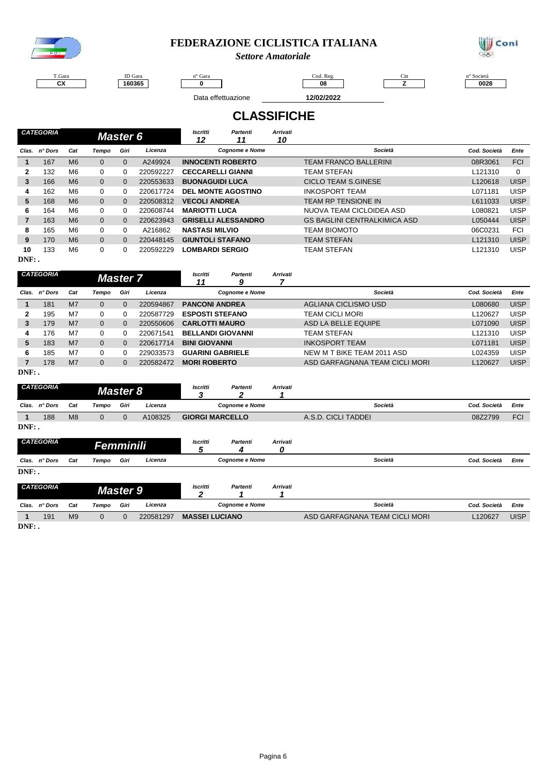

### **FEDERAZIONE CICLISTICA ITALIANA**

*Settore Amatoriale*



T.Gara **CX**

 $\sqrt{ }$ 

ID Gara **160365**

n° Gara and the code of the Code Reg. Code Reg. Cin the contract of the contract of the contract of the contract of the contract of the contract of the contract of the contract of the contract of the contract of the contra **0 08 Z 0028**

 $\overline{\phantom{a}}$ 

Data effettuazione **12/02/2022**

# **CLASSIFICHE**

|                | <b>CATEGORIA</b> |                |                | <b>Master 6</b> |           | <b>Arrivati</b><br>Iscritti<br>Partenti<br>10<br>12<br>11 |                            |                                     |              |             |
|----------------|------------------|----------------|----------------|-----------------|-----------|-----------------------------------------------------------|----------------------------|-------------------------------------|--------------|-------------|
| Clas.          | n° Dors          | Cat            | Tempo          | Giri            | Licenza   |                                                           | <b>Cognome e Nome</b>      | Società                             | Cod. Società | Ente        |
|                | 167              | M <sub>6</sub> | $\Omega$       | $\Omega$        | A249924   |                                                           | <b>INNOCENTI ROBERTO</b>   | <b>TEAM FRANCO BALLERINI</b>        | 08R3061      | <b>FCI</b>  |
| 2              | 132              | M6             | 0              | 0               | 220592227 | <b>CECCARELLI GIANNI</b>                                  |                            | <b>TEAM STEFAN</b>                  | L121310      | $\Omega$    |
| 3              | 166              | M <sub>6</sub> | $\overline{0}$ | 0               | 220553633 | <b>BUONAGUIDI LUCA</b>                                    |                            | <b>CICLO TEAM S.GINESE</b>          | L120618      | <b>UISP</b> |
| 4              | 162              | M <sub>6</sub> | 0              | 0               | 220617724 | <b>DEL MONTE AGOSTINO</b>                                 |                            | <b>INKOSPORT TEAM</b>               | L071181      | UISP        |
| 5              | 168              | M <sub>6</sub> | $\mathbf{0}$   | 0               | 220508312 | <b>VECOLI ANDREA</b>                                      |                            | <b>TEAM RP TENSIONE IN</b>          | L611033      | <b>UISP</b> |
| 6              | 164              | M6             | 0              | 0               | 220608744 | <b>MARIOTTI LUCA</b>                                      |                            | NUOVA TEAM CICLOIDEA ASD            | L080821      | <b>UISP</b> |
| $\overline{7}$ | 163              | M <sub>6</sub> | $\mathbf{0}$   | $\Omega$        | 220623943 |                                                           | <b>GRISELLI ALESSANDRO</b> | <b>GS BAGLINI CENTRALKIMICA ASD</b> | L050444      | <b>UISP</b> |
| 8              | 165              | M6             | 0              | 0               | A216862   | <b>NASTASI MILVIO</b>                                     |                            | <b>TEAM BIOMOTO</b>                 | 06C0231      | <b>FCI</b>  |
| 9              | 170              | M <sub>6</sub> | $\Omega$       | $\Omega$        | 220448145 | <b>GIUNTOLI STAFANO</b>                                   |                            | <b>TEAM STEFAN</b>                  | L121310      | <b>UISP</b> |
| 10<br>$DNF:$ . | 133              | M <sub>6</sub> | 0              | 0               | 220592229 | <b>LOMBARDI SERGIO</b>                                    |                            | <b>TEAM STEFAN</b>                  | L121310      | <b>UISP</b> |

|          | CATEGORIA |                |       | <b>Master 7</b> |           | <b>Iscritti</b><br>11    | Partenti<br>9         | <b>Arrivati</b> |                                |              |             |
|----------|-----------|----------------|-------|-----------------|-----------|--------------------------|-----------------------|-----------------|--------------------------------|--------------|-------------|
| Clas.    | n° Dors   | Cat            | Tempo | Giri            | Licenza   |                          | <b>Cognome e Nome</b> |                 | Società                        | Cod. Società | Ente        |
|          | 181       | M <sub>7</sub> | 0     |                 | 220594867 | <b>PANCONI ANDREA</b>    |                       |                 | AGLIANA CICLISMO USD           | L080680      | <b>UISP</b> |
|          | 195       | M7             | 0     |                 | 220587729 | <b>ESPOSTI STEFANO</b>   |                       |                 | TEAM CICLI MORI                | L120627      | <b>UISP</b> |
| 3        | 179       | M <sub>7</sub> | 0     | 0               | 220550606 | <b>CARLOTTI MAURO</b>    |                       |                 | ASD LA BELLE EQUIPE            | L071090      | <b>UISP</b> |
| 4        | 176       | M7             | 0     |                 | 220671541 | <b>BELLANDI GIOVANNI</b> |                       |                 | TEAM STEFAN                    | L121310      | <b>UISP</b> |
| 5        | 183       | M <sub>7</sub> | 0     | 0               | 220617714 | <b>BINI GIOVANNI</b>     |                       |                 | <b>INKOSPORT TEAM</b>          | L071181      | <b>UISP</b> |
| 6        | 185       | M7             | 0     |                 | 229033573 | <b>GUARINI GABRIELE</b>  |                       |                 | NEW M T BIKE TEAM 2011 ASD     | L024359      | <b>UISP</b> |
|          | 178       | M <sub>7</sub> | 0     |                 | 220582472 | <b>MORI ROBERTO</b>      |                       |                 | ASD GARFAGNANA TEAM CICLI MORI | L120627      | <b>UISP</b> |
| $DNF:$ . |           |                |       |                 |           |                          |                       |                 |                                |              |             |

|          | <b>CATEGORIA</b><br><b>Master 8</b>               |                 |             |                       |                       | <b>Iscritti</b><br>Ĵ   | Partenti<br>2         | <b>Arrivati</b>                |                     |         |              |            |
|----------|---------------------------------------------------|-----------------|-------------|-----------------------|-----------------------|------------------------|-----------------------|--------------------------------|---------------------|---------|--------------|------------|
| Clas.    | n° Dors                                           | Cat             | Tempo       | Giri                  | Licenza               |                        | <b>Cognome e Nome</b> |                                |                     | Società | Cod. Società | Ente       |
|          | 188                                               | M <sub>8</sub>  | $\mathbf 0$ | $\mathbf{0}$          | A108325               | <b>GIORGI MARCELLO</b> |                       |                                | A.S.D. CICLI TADDEI |         | 08Z2799      | <b>FCI</b> |
| $DNF:$ . |                                                   |                 |             |                       |                       |                        |                       |                                |                     |         |              |            |
|          | <b>CATEGORIA</b><br>Femminili                     |                 |             |                       |                       | Iscritti<br>5          | Partenti<br>4         | <b>Arrivati</b><br>0           |                     |         |              |            |
|          | Clas. n° Dors                                     | Cat             | Tempo       | Giri                  | Licenza               |                        | <b>Cognome e Nome</b> |                                |                     | Società | Cod. Società | Ente       |
| $DNF:$ . |                                                   |                 |             |                       |                       |                        |                       |                                |                     |         |              |            |
|          | <b>CATEGORIA</b>                                  | <b>Master 9</b> |             |                       |                       | Iscritti               | Partenti              | <b>Arrivati</b>                |                     |         |              |            |
| Clas.    | Licenza<br>n° Dors<br>Giri<br>Cat<br>Tempo        |                 |             | <b>Cognome e Nome</b> |                       |                        |                       | Società                        | Cod. Società        | Ente    |              |            |
|          | M <sub>9</sub><br>191<br>$\mathbf{0}$<br>$\Omega$ |                 |             | 220581297             | <b>MASSEI LUCIANO</b> |                        |                       | ASD GARFAGNANA TEAM CICLI MORI |                     | L120627 | <b>UISP</b>  |            |

**DNF: .**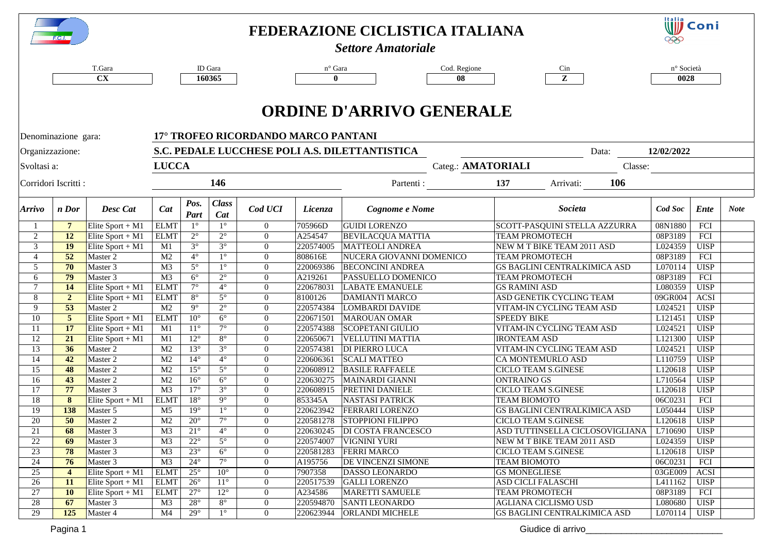|                | <b>F.C.I.</b>       |                      |                                  |                                                                       |                        |                                     |                        | FEDERAZIONE CICLISTICA ITALIANA<br><b>Settore Amatoriale</b> |                                                  | <b>Will</b> Coni<br>999 |                            |             |  |
|----------------|---------------------|----------------------|----------------------------------|-----------------------------------------------------------------------|------------------------|-------------------------------------|------------------------|--------------------------------------------------------------|--------------------------------------------------|-------------------------|----------------------------|-------------|--|
|                |                     | T.Gara               |                                  |                                                                       | ID Gara                |                                     | n° Gara                | Cod. Regione                                                 | Cin                                              | n° Società              |                            |             |  |
|                |                     | <b>CX</b>            |                                  |                                                                       | 160365                 |                                     | $\mathbf{0}$           | 08                                                           | Z                                                | 0028                    |                            |             |  |
|                | Denominazione gara: |                      |                                  |                                                                       |                        | 17° TROFEO RICORDANDO MARCO PANTANI |                        | <b>ORDINE D'ARRIVO GENERALE</b>                              |                                                  |                         |                            |             |  |
|                | Organizzazione:     |                      |                                  | S.C. PEDALE LUCCHESE POLI A.S. DILETTANTISTICA<br>12/02/2022<br>Data: |                        |                                     |                        |                                                              |                                                  |                         |                            |             |  |
| Svoltasi a:    |                     |                      | <b>LUCCA</b>                     |                                                                       |                        |                                     |                        | Categ.: AMATORIALI                                           | Classe:                                          |                         |                            |             |  |
|                | Corridori Iscritti: |                      |                                  |                                                                       | 146                    |                                     |                        | Partenti :                                                   | 106<br>137<br>Arrivati:                          |                         |                            |             |  |
| Arrivo         | n Dor               | Desc Cat             | Cat                              | Pos.<br>Part                                                          | <b>Class</b><br>Cat    | Cod UCI                             | <i>Licenza</i>         | Cognome e Nome                                               | Societa                                          | Cod Soc                 | <b>Ente</b>                | <b>Note</b> |  |
|                | $\overline{7}$      | Elite Sport + $M1$   | <b>ELMT</b>                      | $1^{\circ}$                                                           | $1^{\circ}$            | $\overline{0}$                      | 705966D                | <b>GUIDI LORENZO</b>                                         | SCOTT-PASQUINI STELLA AZZURRA                    | 08N1880                 | FCI                        |             |  |
| 2              | <b>12</b>           | Elite Sport + $M1$   | <b>ELMT</b>                      | $2^{\circ}$                                                           | $2^{\circ}$            | $\overline{0}$                      | A254547                | <b>BEVILACQUA MATTIA</b>                                     | <b>TEAM PROMOTECH</b>                            | 08P3189                 | FCI                        |             |  |
| 3              | 19                  | Elite Sport + $M1$   | M1                               | $3^\circ$                                                             | $3^\circ$              | $\overline{0}$                      | 220574005              | <b>MATTEOLI ANDREA</b>                                       | NEW M T BIKE TEAM 2011 ASD                       | L024359                 | <b>UISP</b>                |             |  |
| $\overline{4}$ | 52                  | Master 2             | M <sub>2</sub>                   | $4^\circ$                                                             | $1^{\circ}$            | $\overline{0}$                      | 808616E                | NUCERA GIOVANNI DOMENICO                                     | <b>TEAM PROMOTECH</b>                            | 08P3189                 | FCI                        |             |  |
| 5              | 70                  | Master 3             | M <sub>3</sub>                   | $5^\circ$                                                             | $1^{\circ}$            | $\mathbf{0}$                        | 220069386              | <b>BECONCINI ANDREA</b>                                      | <b>GS BAGLINI CENTRALKIMICA ASD</b>              | L070114                 | <b>UISP</b>                |             |  |
| 6              | 79                  | Master 3             | M <sub>3</sub>                   | $6^{\circ}$                                                           | $2^{\circ}$            | $\overline{0}$                      | A219261                | PASSUELLO DOMENICO                                           | <b>TEAM PROMOTECH</b>                            | 08P3189                 | FCI                        |             |  |
| $\tau$         | 14                  | Elite Sport + $M1$   | <b>ELMT</b>                      | $7^\circ$                                                             | $4^\circ$              | $\overline{0}$                      | 220678031              | <b>LABATE EMANUELE</b>                                       | <b>GS RAMINI ASD</b>                             | L080359                 | <b>UISP</b>                |             |  |
| 8              | $\overline{2}$      | Elite Sport + $M1$   | <b>ELMT</b>                      | $8^{\circ}$                                                           | $5^{\circ}$            | $\overline{0}$                      | 8100126                | <b>DAMIANTI MARCO</b>                                        | ASD GENETIK CYCLING TEAM                         | 09GR004                 | <b>ACSI</b>                |             |  |
| 9              | 53                  | Master 2             | M <sub>2</sub>                   | $9^\circ$                                                             | $2^{\circ}$            | $\overline{0}$                      | 220574384              | LOMBARDI DAVIDE                                              | VITAM-IN CYCLING TEAM ASD                        | L024521                 | <b>UISP</b>                |             |  |
| 10             | $\overline{5}$      | Elite Sport + $M1$   | <b>ELMT</b>                      | $10^{\circ}$                                                          | $6^{\circ}$            | $\overline{0}$                      | 220671501              | <b>MAROUAN OMAR</b>                                          | <b>SPEEDY BIKE</b>                               | L121451                 | <b>UISP</b>                |             |  |
| 11             | 17                  | Elite Sport + $M1$   | M1                               | $11^{\circ}$                                                          | $7^\circ$              | $\overline{0}$                      | 220574388              | <b>SCOPETANI GIULIO</b>                                      | VITAM-IN CYCLING TEAM ASD                        | L024521                 | <b>UISP</b>                |             |  |
| 12             | 21                  | Elite Sport + $M1$   | M1                               | $12^{\circ}$                                                          | $8^{\circ}$            | $\mathbf{0}$                        | 220650671              | <b>VELLUTINI MATTIA</b>                                      | <b>IRONTEAM ASD</b>                              | L121300                 | <b>UISP</b>                |             |  |
| 13<br>14       | 36<br>42            | Master 2             | M <sub>2</sub>                   | $13^\circ$<br>$14^\circ$                                              | $3^\circ$<br>$4^\circ$ | $\overline{0}$                      | 220574381              | <b>DI PIERRO LUCA</b>                                        | VITAM-IN CYCLING TEAM ASD                        | L024521                 | <b>UISP</b>                |             |  |
| 15             | 48                  | Master 2<br>Master 2 | M <sub>2</sub><br>M <sub>2</sub> | $15^{\circ}$                                                          | $5^{\circ}$            | $\overline{0}$<br>$\overline{0}$    | 220606361<br>220608912 | <b>SCALI MATTEO</b><br><b>BASILE RAFFAELE</b>                | CA MONTEMURLO ASD<br><b>CICLO TEAM S.GINESE</b>  | L110759<br>L120618      | <b>UISP</b><br><b>UISP</b> |             |  |
| 16             | 43                  |                      | M <sub>2</sub>                   | $16^{\circ}$                                                          | $6^{\circ}$            | $\overline{0}$                      | 220630275              |                                                              |                                                  | L710564                 | <b>UISP</b>                |             |  |
| 17             | 77                  | Master 2<br>Master 3 | M <sub>3</sub>                   | $17^{\circ}$                                                          | $3^\circ$              | $\overline{0}$                      | 220608915              | MAINARDI GIANNI<br><b>PRETINI DANIELE</b>                    | <b>ONTRAINO GS</b><br><b>CICLO TEAM S.GINESE</b> | L120618                 | <b>UISP</b>                |             |  |
| 18             | 8                   | Elite Sport + $M1$   | <b>ELMT</b>                      | $18^\circ$                                                            | $9^{\circ}$            | $\overline{0}$                      | 853345A                | <b>NASTASI PATRICK</b>                                       | <b>TEAM BIOMOTO</b>                              | 06C0231                 | FCI                        |             |  |
| 19             | 138                 | Master 5             | M <sub>5</sub>                   | $19^\circ$                                                            | $1^{\circ}$            | $\overline{0}$                      | 220623942              | <b>FERRARI LORENZO</b>                                       | <b>GS BAGLINI CENTRALKIMICA ASD</b>              | L050444                 | <b>UISP</b>                |             |  |
| 20             | 50                  | Master 2             | M2                               | $20^{\circ}$                                                          | $7^\circ$              | $\boldsymbol{0}$                    |                        | 220581278 STOPPIONI FILIPPO                                  | <b>CICLO TEAM S.GINESE</b>                       | L120618                 | <b>UISP</b>                |             |  |
| 21             | 68                  | Master 3             | M <sub>3</sub>                   | $21^{\circ}$                                                          | $4^{\circ}$            | $\overline{0}$                      | 220630245              | <b>DI COSTA FRANCESCO</b>                                    | ASD TUTTINSELLA CICLOSOVIGLIANA                  | L710690                 | UISP                       |             |  |
| 22             | 69                  | Master 3             | M <sub>3</sub>                   | $22^{\circ}$                                                          | $5^{\circ}$            | $\overline{0}$                      | 220574007              | <b>VIGNINI YURI</b>                                          | NEW M T BIKE TEAM 2011 ASD                       | L024359                 | <b>UISP</b>                |             |  |
| 23             | 78                  | Master 3             | M <sub>3</sub>                   | $23^{\circ}$                                                          | $6^{\circ}$            | $\overline{0}$                      | 220581283              | <b>FERRI MARCO</b>                                           | <b>CICLO TEAM S.GINESE</b>                       | L120618                 | UISP                       |             |  |
| 24             | 76                  | Master 3             | M <sub>3</sub>                   | $24^{\circ}$                                                          | $7^\circ$              | $\overline{0}$                      | A195756                | DE VINCENZI SIMONE                                           | <b>TEAM BIOMOTO</b>                              | 06C0231                 | FCI                        |             |  |
| 25             | $\overline{4}$      | Elite Sport + $M1$   | <b>ELMT</b>                      | $25^{\circ}$                                                          | $10^{\circ}$           | $\overline{0}$                      | 7907358                | DASSO LEONARDO                                               | <b>GS MONEGLIESE</b>                             | 03GE009                 | <b>ACSI</b>                |             |  |
| 26             | 11                  | Elite Sport + $M1$   | <b>ELMT</b>                      | $26^{\circ}$                                                          | $11^{\circ}$           | $\overline{0}$                      | 220517539              | <b>GALLI LORENZO</b>                                         | <b>ASD CICLI FALASCHI</b>                        | L411162                 | <b>UISP</b>                |             |  |
| 27             | <b>10</b>           | Elite Sport + $M1$   | <b>ELMT</b>                      | $27^{\circ}$                                                          | $12^{\circ}$           | $\overline{0}$                      | A234586                | <b>MARETTI SAMUELE</b>                                       | <b>TEAM PROMOTECH</b>                            | 08P3189                 | FCI                        |             |  |
| 28             | 67                  | Master 3             | M <sub>3</sub>                   | $28^{\circ}$                                                          | $8^{\circ}$            | $\overline{0}$                      | 220594870              | <b>SANTI LEONARDO</b>                                        | AGLIANA CICLISMO USD                             | L080680                 | <b>UISP</b>                |             |  |
| 29             | 125                 | Master 4             | M <sub>4</sub>                   | $29^\circ$                                                            | $1^{\circ}$            | $\overline{0}$                      | 220623944              | <b>ORLANDI MICHELE</b>                                       | <b>GS BAGLINI CENTRALKIMICA ASD</b>              | L070114                 | UISP                       |             |  |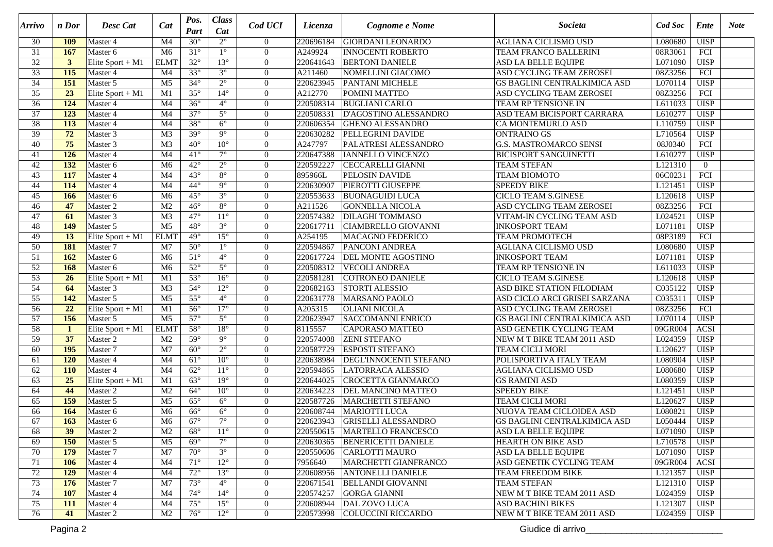| Arrivo          | n Dor            | Desc Cat           | Cat             | Pos.<br>Part | <b>Class</b><br>Cat    | Cod UCI        | Licenza   | Cognome e Nome                | Societa                             | Cod Soc | Ente             | <b>Note</b> |
|-----------------|------------------|--------------------|-----------------|--------------|------------------------|----------------|-----------|-------------------------------|-------------------------------------|---------|------------------|-------------|
| 30              | <b>109</b>       | Master 4           | M <sub>4</sub>  | $30^\circ$   | $2^{\circ}$            | $\overline{0}$ | 220696184 | <b>GIORDANI LEONARDO</b>      | AGLIANA CICLISMO USD                | L080680 | <b>UISP</b>      |             |
| 31              | 167              | Master 6           | M <sub>6</sub>  | $31^\circ$   | $1^{\circ}$            | $\overline{0}$ | A249924   | <b>INNOCENTI ROBERTO</b>      | TEAM FRANCO BALLERINI               | 08R3061 | FCI              |             |
| 32              | $\mathbf{3}$     | Elite Sport + $M1$ | <b>ELMT</b>     | $32^\circ$   | $13^\circ$             | $\mathbf{0}$   | 220641643 | <b>BERTONI DANIELE</b>        | <b>ASD LA BELLE EQUIPE</b>          | L071090 | <b>UISP</b>      |             |
| $\overline{33}$ | 115              | Master 4           | M4              | $33^\circ$   | $3^\circ$              | $\theta$       | A211460   | NOMELLINI GIACOMO             | ASD CYCLING TEAM ZEROSEI            | 08Z3256 | FCI              |             |
| $\overline{34}$ | 151              | Master 5           | $\overline{M5}$ | $34^\circ$   | $2^{\circ}$            | $\mathbf{0}$   | 220623945 | <b>PANTANI MICHELE</b>        | <b>GS BAGLINI CENTRALKIMICA ASD</b> | L070114 | <b>UISP</b>      |             |
| $\overline{35}$ | $\overline{23}$  | Elite Sport + $M1$ | M1              | $35^\circ$   | $14^{\circ}$           | $\mathbf{0}$   | A212770   | POMINI MATTEO                 | ASD CYCLING TEAM ZEROSEI            | 08Z3256 | FCI              |             |
| $\overline{36}$ | 124              | Master 4           | M4              | $36^\circ$   | $4^\circ$              | $\overline{0}$ | 220508314 | <b>BUGLIANI CARLO</b>         | TEAM RP TENSIONE IN                 | L611033 | <b>UISP</b>      |             |
| $\overline{37}$ | 123              | Master 4           | M <sub>4</sub>  | $37^\circ$   | $5^\circ$              | $\overline{0}$ | 220508331 | D'AGOSTINO ALESSANDRO         | ASD TEAM BICISPORT CARRARA          | L610277 | <b>UISP</b>      |             |
| $\overline{38}$ | $\overline{113}$ | Master 4           | M <sub>4</sub>  | $38^\circ$   | $6^{\circ}$            | $\overline{0}$ | 220606354 | <b>GHENO ALESSANDRO</b>       | CA MONTEMURLO ASD                   | L110759 | <b>UISP</b>      |             |
| 39              | $\overline{72}$  | Master 3           | M <sub>3</sub>  | $39^\circ$   | $\overline{9^{\circ}}$ | $\overline{0}$ | 220630282 | <b>PELLEGRINI DAVIDE</b>      | <b>ONTRAINO GS</b>                  | L710564 | <b>UISP</b>      |             |
| 40              | 75               | Master 3           | $\overline{M3}$ | $40^\circ$   | $10^{\circ}$           | $\Omega$       | A247797   | PALATRESI ALESSANDRO          | <b>G.S. MASTROMARCO SENSI</b>       | 08J0340 | $\overline{FCI}$ |             |
| 41              | 126              | Master 4           | M <sub>4</sub>  | $41^{\circ}$ | $7^\circ$              | $\mathbf{0}$   | 220647388 | <b>IANNELLO VINCENZO</b>      | <b>BICISPORT SANGUINETTI</b>        | L610277 | <b>UISP</b>      |             |
| 42              | 132              | Master 6           | M <sub>6</sub>  | $42^\circ$   | $2^{\circ}$            | $\Omega$       | 220592227 | <b>CECCARELLI GIANNI</b>      | <b>TEAM STEFAN</b>                  | L121310 | $\overline{0}$   |             |
| 43              | 117              | Master 4           | M4              | $43^\circ$   | $8^{\circ}$            | $\overline{0}$ | 895966L   | <b>PELOSIN DAVIDE</b>         | TEAM BIOMOTO                        | 06C0231 | FCI              |             |
| 44              | 114              | Master 4           | M4              | $44^\circ$   | $9^\circ$              | $\overline{0}$ | 220630907 | <b>PIEROTTI GIUSEPPE</b>      | <b>SPEEDY BIKE</b>                  | L121451 | <b>UISP</b>      |             |
| 45              | 166              | Master 6           | M6              | $45^{\circ}$ | $3^\circ$              | $\overline{0}$ | 220553633 | <b>BUONAGUIDI LUCA</b>        | CICLO TEAM S.GINESE                 | L120618 | <b>UISP</b>      |             |
| 46              | 47               | Master 2           | M <sub>2</sub>  | $46^{\circ}$ | $8^\circ$              | $\overline{0}$ | A211526   | <b>GONNELLA NICOLA</b>        | ASD CYCLING TEAM ZEROSEI            | 08Z3256 | FCI              |             |
| 47              | 61               | Master 3           | M <sub>3</sub>  | $47^\circ$   | $11^\circ$             | $\theta$       | 220574382 | <b>DILAGHI TOMMASO</b>        | VITAM-IN CYCLING TEAM ASD           | L024521 | <b>UISP</b>      |             |
| 48              | 149              | Master 5           | $\overline{M5}$ | $48^\circ$   | $3^\circ$              | $\mathbf{0}$   | 220617711 | CIAMBRELLO GIOVANNI           | <b>INKOSPORT TEAM</b>               | L071181 | <b>UISP</b>      |             |
| 49              | $\overline{13}$  | Elite Sport + $M1$ | <b>ELMT</b>     | $49^\circ$   | $15^\circ$             | $\Omega$       | A254195   | <b>MACAGNO FEDERICO</b>       | <b>TEAM PROMOTECH</b>               | 08P3189 | FCI              |             |
| $\overline{50}$ | 181              | Master 7           | M <sub>7</sub>  | $50^\circ$   | $1^{\circ}$            | $\mathbf{0}$   | 220594867 | <b>PANCONI ANDREA</b>         | <b>AGLIANA CICLISMO USD</b>         | L080680 | <b>UISP</b>      |             |
| 51              | 162              | Master 6           | M <sub>6</sub>  | $51^\circ$   | $4^\circ$              | $\overline{0}$ | 220617724 | <b>DEL MONTE AGOSTINO</b>     | <b>INKOSPORT TEAM</b>               | L071181 | <b>UISP</b>      |             |
| $\overline{52}$ | 168              | Master 6           | M <sub>6</sub>  | $52^\circ$   | $5^{\circ}$            | $\overline{0}$ | 220508312 | <b>VECOLI ANDREA</b>          | TEAM RP TENSIONE IN                 | L611033 | <b>UISP</b>      |             |
| 53              | 26               | Elite Sport + $M1$ | M1              | $53^\circ$   | $16^{\circ}$           | $\overline{0}$ | 220581281 | COTRONEO DANIELE              | CICLO TEAM S.GINESE                 | L120618 | <b>UISP</b>      |             |
| $\overline{54}$ | 64               | Master 3           | M <sub>3</sub>  | $54^\circ$   | $12^{\circ}$           | $\mathbf{0}$   | 220682163 | <b>STORTI ALESSIO</b>         | ASD BIKE STATION FILODIAM           | C035122 | <b>UISP</b>      |             |
| $\overline{55}$ | 142              | Master 5           | $\overline{M5}$ | $55^\circ$   | $4^\circ$              | $\Omega$       | 220631778 | MARSANO PAOLO                 | ASD CICLO ARCI GRISEI SARZANA       | C035311 | <b>UISP</b>      |             |
| 56              | $\overline{22}$  | Elite Sport + $M1$ | $\overline{M1}$ | $56^\circ$   | $17^\circ$             | $\Omega$       | A205315   | <b>OLIANI NICOLA</b>          | ASD CYCLING TEAM ZEROSEI            | 08Z3256 | FCI              |             |
| $\overline{57}$ | 156              | Master 5           | M <sub>5</sub>  | $57^\circ$   | $5^\circ$              | $\mathbf{0}$   | 220623947 | <b>SACCOMANNI ENRICO</b>      | GS BAGLINI CENTRALKIMICA ASD        | L070114 | <b>UISP</b>      |             |
| $\overline{58}$ | $\mathbf{1}$     | Elite Sport + M1   | <b>ELMT</b>     | $58^\circ$   | $18^\circ$             | $\overline{0}$ | 8115557   | CAPORASO MATTEO               | ASD GENETIK CYCLING TEAM            | 09GR004 | <b>ACSI</b>      |             |
| 59              | 37               | Master 2           | M <sub>2</sub>  | $59^\circ$   | $\overline{9^{\circ}}$ | $\overline{0}$ | 220574008 | <b>ZENI STEFANO</b>           | NEW M T BIKE TEAM 2011 ASD          | L024359 | <b>UISP</b>      |             |
| 60              | 195              | Master 7           | M7              | $60^\circ$   | $2^{\circ}$            | $\overline{0}$ | 220587729 | <b>ESPOSTI STEFANO</b>        | <b>TEAM CICLI MORI</b>              | L120627 | <b>UISP</b>      |             |
| 61              | 120              | Master 4           | M <sub>4</sub>  | $61^\circ$   | $10^{\circ}$           | $\overline{0}$ | 220638984 | <b>DEGL'INNOCENTI STEFANO</b> | POLISPORTIVA ITALY TEAM             | L080904 | <b>UISP</b>      |             |
| 62              | <b>110</b>       | Master 4           | M <sub>4</sub>  | $62^\circ$   | $11^{\circ}$           | $\theta$       | 220594865 | <b>LATORRACA ALESSIO</b>      | AGLIANA CICLISMO USD                | L080680 | <b>UISP</b>      |             |
| 63              | $\overline{25}$  | Elite Sport + $M1$ | M1              | $63^\circ$   | $19^\circ$             | $\overline{0}$ | 220644025 | CROCETTA GIANMARCO            | <b>GS RAMINI ASD</b>                | L080359 | <b>UISP</b>      |             |
| 64              | 44               | Master 2           | M2              | $64^\circ$   | $10^{\circ}$           | $\mathbf{0}$   | 220634223 | <b>DEL MANCINO MATTEO</b>     | <b>SPEEDY BIKE</b>                  | L121451 | <b>UISP</b>      |             |
| 65              | 159              | Master 5           | M <sub>5</sub>  | $65^\circ$   | $6^\circ$              | $\overline{0}$ | 220587726 | <b>MARCHETTI STEFANO</b>      | <b>TEAM CICLI MORI</b>              | L120627 | <b>UISP</b>      |             |
| 66              | 164              | Master 6           | M <sub>6</sub>  | $66^{\circ}$ | $6^{\circ}$            | $\mathbf{0}$   | 220608744 | <b>MARIOTTI LUCA</b>          | NUOVA TEAM CICLOIDEA ASD            | L080821 | <b>UISP</b>      |             |
| 67              | 163              | Master 6           | M <sub>6</sub>  | $67^\circ$   | $7^\circ$              | $\Omega$       | 220623943 | <b>GRISELLI ALESSANDRO</b>    | <b>GS BAGLINI CENTRALKIMICA ASD</b> | L050444 | <b>UISP</b>      |             |
| 68              | 39               | Master 2           | M <sub>2</sub>  | $68^{\circ}$ | $11^{\circ}$           | $\overline{0}$ | 220550615 | <b>MARTELLO FRANCESCO</b>     | ASD LA BELLE EQUIPE                 | L071090 | <b>UISP</b>      |             |
| 69              | <b>150</b>       | Master 5           | M <sub>5</sub>  | $69^\circ$   | $7^\circ$              | $\overline{0}$ | 220630365 | <b>BENERICETTI DANIELE</b>    | HEARTH ON BIKE ASD                  | L710578 | <b>UISP</b>      |             |
| 70              | 179              | Master 7           | M7              | $70^{\circ}$ | $3^\circ$              | $\overline{0}$ | 220550606 | <b>CARLOTTI MAURO</b>         | ASD LA BELLE EQUIPE                 | L071090 | <b>UISP</b>      |             |
| 71              | 106              | Master 4           | M4              | $71^{\circ}$ | $12^{\circ}$           | $\overline{0}$ | 7956640   | MARCHETTI GIANFRANCO          | ASD GENETIK CYCLING TEAM            | 09GR004 | <b>ACSI</b>      |             |
| 72              | 129              | Master 4           | M4              | $72^{\circ}$ | $13^\circ$             | $\overline{0}$ | 220608956 | <b>ANTONELLI DANIELE</b>      | TEAM FREEDOM BIKE                   | L121357 | <b>UISP</b>      |             |
| 73              | 176              | Master 7           | M7              | $73^\circ$   | $4^\circ$              | $\overline{0}$ | 220671541 | <b>BELLANDI GIOVANNI</b>      | <b>TEAM STEFAN</b>                  | L121310 | <b>UISP</b>      |             |
| 74              | 107              | Master 4           | M4              | $74^{\circ}$ | $14^\circ$             | $\overline{0}$ | 220574257 | <b>GORGA GIANNI</b>           | NEW M T BIKE TEAM 2011 ASD          | L024359 | <b>UISP</b>      |             |
| 75              | <b>111</b>       | Master 4           | M4              | $75^\circ$   | $15^\circ$             | $\overline{0}$ | 220608944 | DAL ZOVO LUCA                 | ASD BACHINI BIKES                   | L121307 | <b>UISP</b>      |             |
| 76              | 41               | Master 2           | M <sub>2</sub>  | $76^{\circ}$ | $12^{\circ}$           | $\overline{0}$ | 220573998 | COLUCCINI RICCARDO            | NEW M T BIKE TEAM 2011 ASD          | L024359 | <b>UISP</b>      |             |